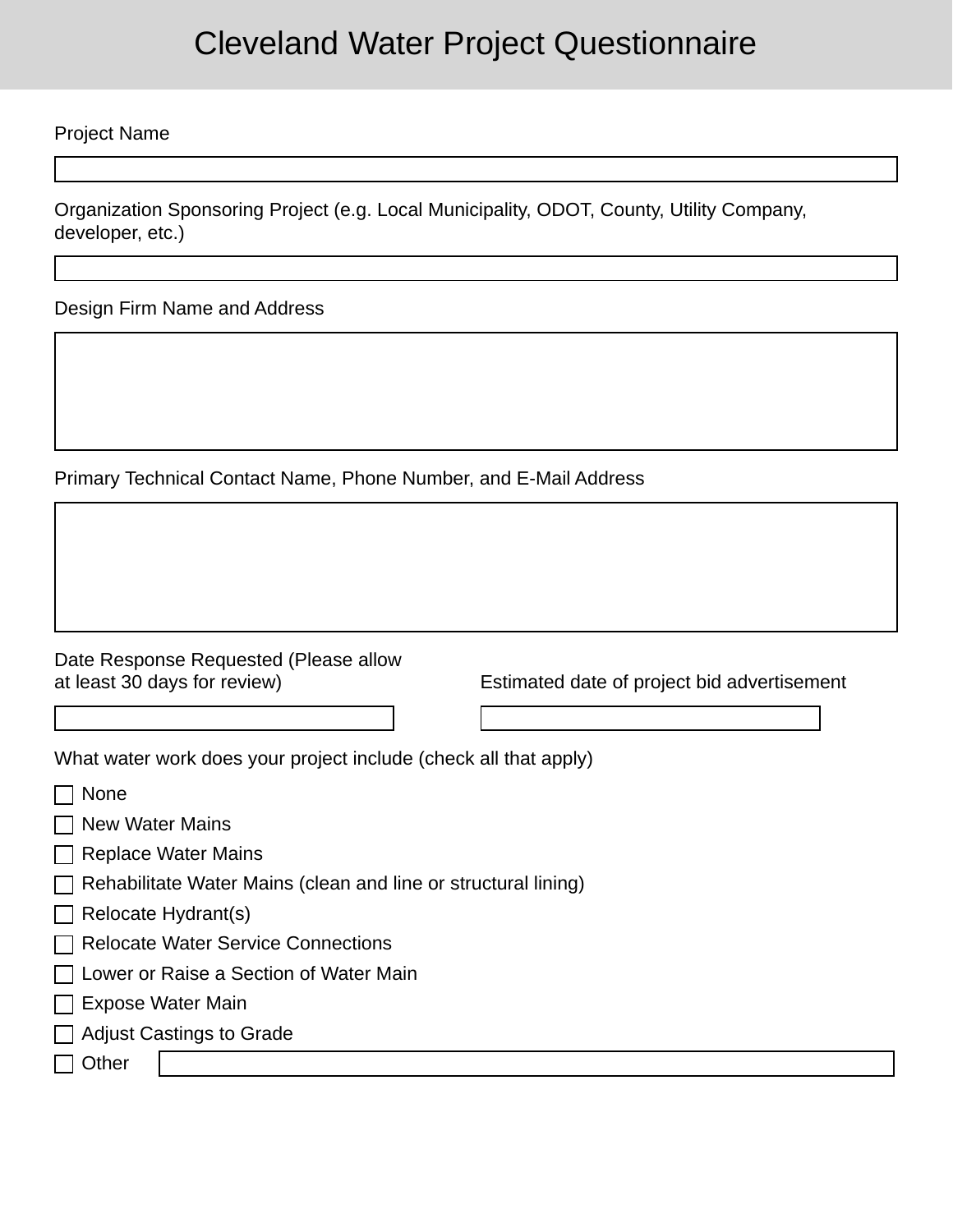## Cleveland Water Project Questionnaire

Project Name

Organization Sponsoring Project (e.g. Local Municipality, ODOT, County, Utility Company, developer, etc.)

Design Firm Name and Address

Primary Technical Contact Name, Phone Number, and E-Mail Address

| Date Response Requested (Please allow |
|---------------------------------------|
| at least 30 days for review)          |

Estimated date of project bid advertisement

What water work does your project include (check all that apply)

| None                                                                           |  |
|--------------------------------------------------------------------------------|--|
| $\Box$ New Water Mains                                                         |  |
| <b>Replace Water Mains</b>                                                     |  |
| Rehabilitate Water Mains (clean and line or structural lining)<br>$\mathbf{I}$ |  |
| Relocate Hydrant(s)                                                            |  |
| □ Relocate Water Service Connections                                           |  |
| $\Box$ Lower or Raise a Section of Water Main                                  |  |
| Expose Water Main<br>$\mathbf{I}$                                              |  |
| <b>Adjust Castings to Grade</b><br>$\mathbf{L}$                                |  |
| Other                                                                          |  |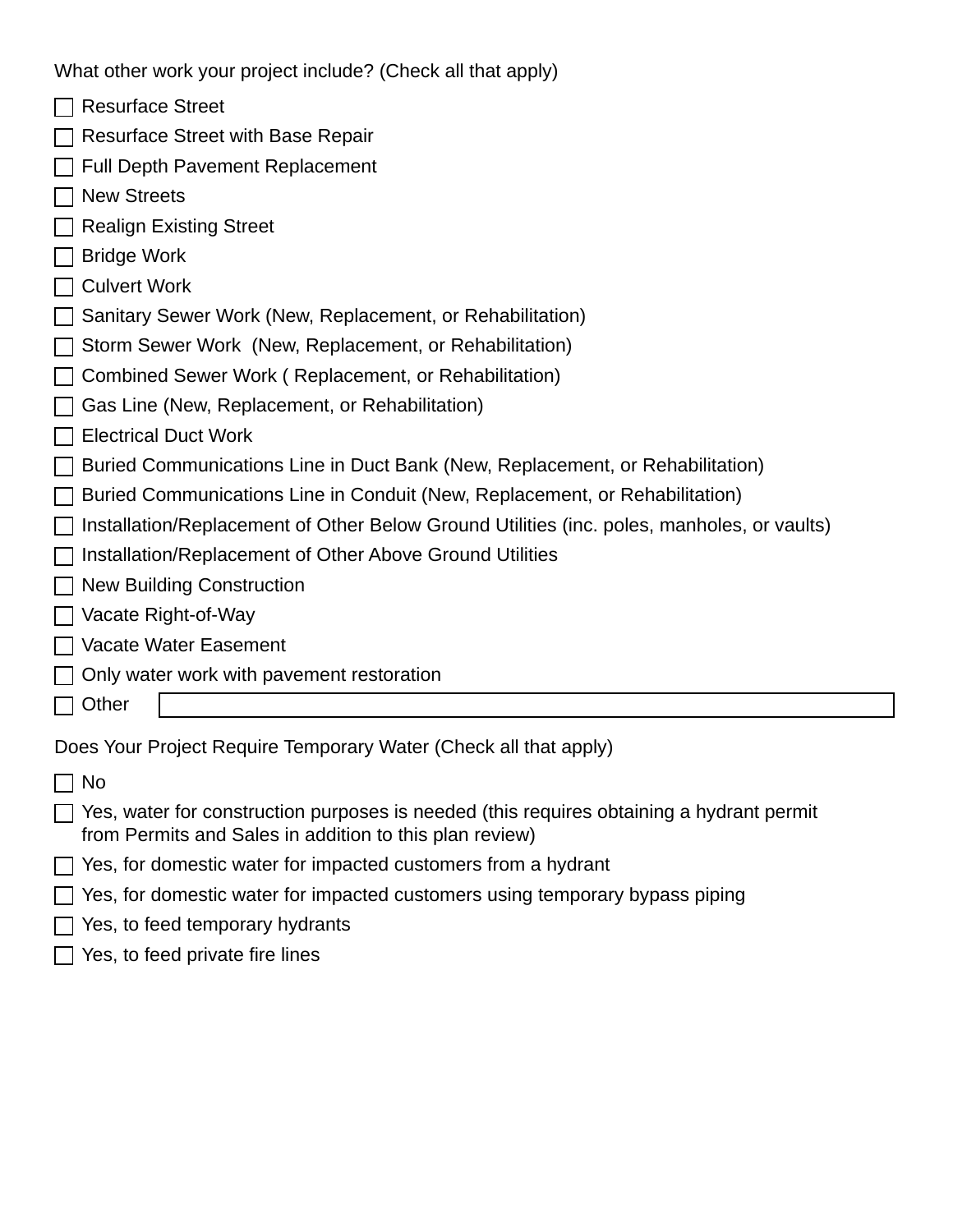What other work your project include? (Check all that apply)

- $\Box$  Resurface Street
- $\Box$  Resurface Street with Base Repair
- $\Box$  Full Depth Pavement Replacement
- **□ New Streets**
- $\Box$  Realign Existing Street
- $\Box$  Bridge Work
- $\Box$  Culvert Work
- Sanitary Sewer Work (New, Replacement, or Rehabilitation)
- $\Box$  Storm Sewer Work (New, Replacement, or Rehabilitation)
- □ Combined Sewer Work ( Replacement, or Rehabilitation)
- $\Box$  Gas Line (New, Replacement, or Rehabilitation)
- □ Electrical Duct Work
- □ Buried Communications Line in Duct Bank (New, Replacement, or Rehabilitation)
- $\Box$  Buried Communications Line in Conduit (New, Replacement, or Rehabilitation)
- $\Box$  Installation/Replacement of Other Below Ground Utilities (inc. poles, manholes, or vaults)
- $\Box$  Installation/Replacement of Other Above Ground Utilities
- $\Box$  New Building Construction
- □ Vacate Right-of-Way
- Vacate Water Easement
- $\Box$  Only water work with pavement restoration
- $\Box$  Other

Does Your Project Require Temporary Water (Check all that apply)

- $\Box$  No
- $\Box$  Yes, water for construction purposes is needed (this requires obtaining a hydrant permit from Permits and Sales in addition to this plan review)
- $\Box$  Yes, for domestic water for impacted customers from a hydrant
- $\Box$  Yes, for domestic water for impacted customers using temporary bypass piping
- $\Box$  Yes, to feed temporary hydrants
- $\Box$  Yes, to feed private fire lines